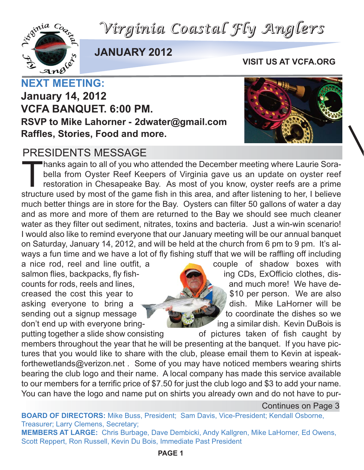*Virginia Coastal Fly Anglers*



**JANUARY 2012**

**VISIT US AT VCFA.ORG**

**January 14, 2012 VCFA BANQUET. 6:00 PM. RSVP to Mike Lahorner - 2dwater@gmail.com Raffles, Stories, Food and more.**

#### PRESIDENTS MESSAGE

Thanks again to all of you who attended the December meeting where Laurie Sora-<br>bella from Oyster Reef Keepers of Virginia gave us an update on oyster reefs<br>restoration in Chesapeake Bay. As most of you know, oyster reefs bella from Oyster Reef Keepers of Virginia gave us an update on oyster reef restoration in Chesapeake Bay. As most of you know, oyster reefs are a prime structure used by most of the game fish in this area, and after listening to her, I believe much better things are in store for the Bay. Oysters can filter 50 gallons of water a day and as more and more of them are returned to the Bay we should see much cleaner water as they filter out sediment, nitrates, toxins and bacteria. Just a win-win scenario! I would also like to remind everyone that our January meeting will be our annual banquet on Saturday, January 14, 2012, and will be held at the church from 6 pm to 9 pm. It's always a fun time and we have a lot of fly fishing stuff that we will be raffling off including

a nice rod, reel and line outfit, a couple of shadow boxes with salmon flies, backpacks, fly fish- **ing CDs**, ExOfficio clothes, discounts for rods, reels and lines, and much more! We have decreased the cost this year to  $\mathbb{R}$   $\mathbb{R}$  \$10 per person. We are also asking everyone to bring a dish. Mike LaHorner will be sending out a signup message to  $\mathbf{t}$  to coordinate the dishes so we don't end up with everyone bring- **ing a similar dish.** Kevin DuBois is

putting together a slide show consisting of pictures taken of fish caught by members throughout the year that he will be presenting at the banquet. If you have pictures that you would like to share with the club, please email them to Kevin at ispeakforthewetlands@verizon.net . Some of you may have noticed members wearing shirts bearing the club logo and their name. A local company has made this service available to our members for a terrific price of \$7.50 for just the club logo and \$3 to add your name. You can have the logo and name put on shirts you already own and do not have to pur-

Continues on Page 3

**BOARD OF DIRECTORS:** Mike Buss, President; Sam Davis, Vice-President; Kendall Osborne, Treasurer; Larry Clemens, Secretary;

**MEMBERS AT LARGE:** Chris Burbage, Dave Dembicki, Andy Kallgren, Mike LaHorner, Ed Owens, Scott Reppert, Ron Russell, Kevin Du Bois, Immediate Past President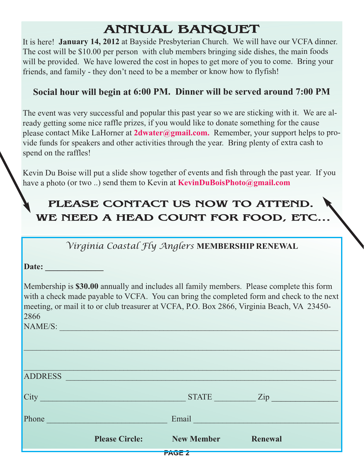## **ANNUAL BANQUET**

It is here! **January 14, 2012** at Bayside Presbyterian Church. We will have our VCFA dinner. The cost will be \$10.00 per person with club members bringing side dishes, the main foods will be provided. We have lowered the cost in hopes to get more of you to come. Bring your friends, and family - they don't need to be a member or know how to flyfish!

#### **Social hour will begin at 6:00 PM. Dinner will be served around 7:00 PM**

The event was very successful and popular this past year so we are sticking with it. We are already getting some nice raffle prizes, if you would like to donate something for the cause please contact Mike LaHorner at **2dwater@gmail.com.** Remember, your support helps to provide funds for speakers and other activities through the year. Bring plenty of extra cash to spend on the raffles!

Kevin Du Boise will put a slide show together of events and fish through the past year. If you have a photo (or two ..) send them to Kevin at **KevinDuBoisPhoto@gmail.com**

### **PLEASE CONTACT US NOW TO ATTEND. WE NEED A HEAD COUNT FOR FOOD, ETC...**

*Virginia Coastal Fly Anglers* **MEMBERSHIP RENEWAL**

**Date: \_\_\_\_\_\_\_\_\_\_\_\_\_\_**

Membership is **\$30.00** annually and includes all family members. Please complete this form with a check made payable to VCFA. You can bring the completed form and check to the next meeting, or mail it to or club treasurer at VCFA, P.O. Box 2866, Virginia Beach, VA 23450- 2866

 $\mathcal{L}_\mathcal{L} = \{ \mathcal{L}_\mathcal{L} = \{ \mathcal{L}_\mathcal{L} = \{ \mathcal{L}_\mathcal{L} = \{ \mathcal{L}_\mathcal{L} = \{ \mathcal{L}_\mathcal{L} = \{ \mathcal{L}_\mathcal{L} = \{ \mathcal{L}_\mathcal{L} = \{ \mathcal{L}_\mathcal{L} = \{ \mathcal{L}_\mathcal{L} = \{ \mathcal{L}_\mathcal{L} = \{ \mathcal{L}_\mathcal{L} = \{ \mathcal{L}_\mathcal{L} = \{ \mathcal{L}_\mathcal{L} = \{ \mathcal{L}_\mathcal{$ 

NAME/S:

**PAGE 2**  $\mathcal{L} = \sum_{i=1}^n \mathcal{L}_i \mathcal{L}_i + \mathcal{L}_i \mathcal{L}_i + \mathcal{L}_i \mathcal{L}_i + \mathcal{L}_i \mathcal{L}_i + \mathcal{L}_i \mathcal{L}_i + \mathcal{L}_i \mathcal{L}_i + \mathcal{L}_i \mathcal{L}_i + \mathcal{L}_i \mathcal{L}_i + \mathcal{L}_i \mathcal{L}_i + \mathcal{L}_i \mathcal{L}_i + \mathcal{L}_i \mathcal{L}_i + \mathcal{L}_i \mathcal{L}_i + \mathcal{L}_i \mathcal{L}_i + \mathcal{L}_i \math$ ADDRESS \_\_\_\_\_\_\_\_\_\_\_\_\_\_\_\_\_\_\_\_\_\_\_\_\_\_\_\_\_\_\_\_\_\_\_\_\_\_\_\_\_\_\_\_\_\_\_\_\_\_\_\_\_\_\_\_\_\_\_\_\_\_\_\_\_ City \_\_\_\_\_\_\_\_\_\_\_\_\_\_\_\_\_\_\_\_\_\_\_\_\_\_\_\_\_\_\_\_\_\_\_ STATE \_\_\_\_\_\_\_\_\_\_ Zip \_\_\_\_\_\_\_\_\_\_\_\_\_\_ Phone **Email Email Email Email Email Email Email Email Please Circle:** New Member Renewal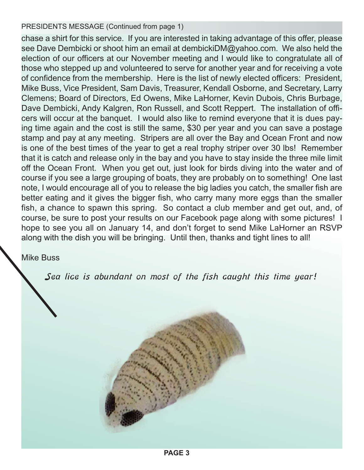PRESIDENTS MESSAGE (Continued from page 1)

chase a shirt for this service. If you are interested in taking advantage of this offer, please see Dave Dembicki or shoot him an email at dembickiDM@yahoo.com. We also held the election of our officers at our November meeting and I would like to congratulate all of those who stepped up and volunteered to serve for another year and for receiving a vote of confidence from the membership. Here is the list of newly elected officers: President, Mike Buss, Vice President, Sam Davis, Treasurer, Kendall Osborne, and Secretary, Larry Clemens; Board of Directors, Ed Owens, Mike LaHorner, Kevin Dubois, Chris Burbage, Dave Dembicki, Andy Kalgren, Ron Russell, and Scott Reppert. The installation of officers will occur at the banquet. I would also like to remind everyone that it is dues paying time again and the cost is still the same, \$30 per year and you can save a postage stamp and pay at any meeting. Stripers are all over the Bay and Ocean Front and now is one of the best times of the year to get a real trophy striper over 30 lbs! Remember that it is catch and release only in the bay and you have to stay inside the three mile limit off the Ocean Front. When you get out, just look for birds diving into the water and of course if you see a large grouping of boats, they are probably on to something! One last note, I would encourage all of you to release the big ladies you catch, the smaller fish are better eating and it gives the bigger fish, who carry many more eggs than the smaller fish, a chance to spawn this spring. So contact a club member and get out, and, of course, be sure to post your results on our Facebook page along with some pictures! I hope to see you all on January 14, and don't forget to send Mike LaHorner an RSVP along with the dish you will be bringing. Until then, thanks and tight lines to all!

#### Mike Buss

Sea lice is abundant on most of the fish caught this time year!